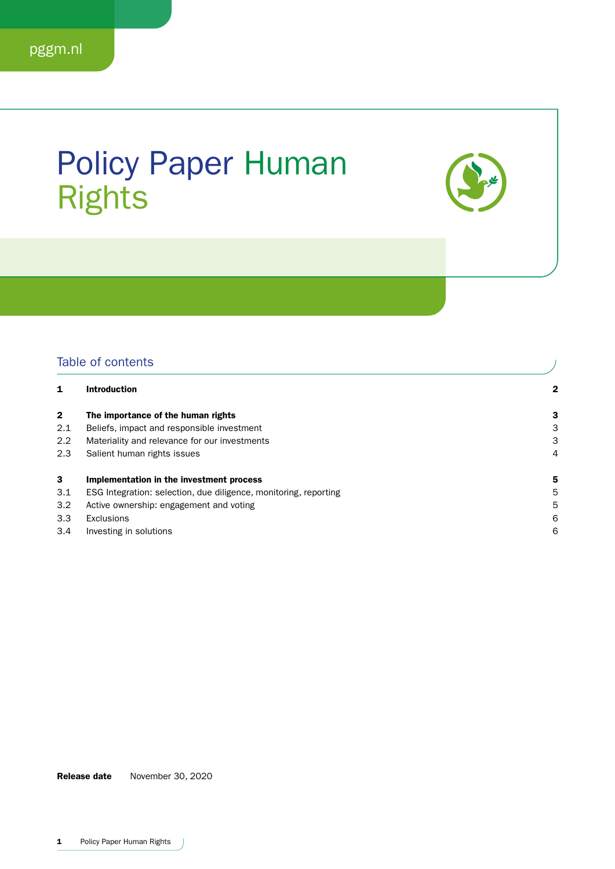### Policy Paper Human Rights



### Table of contents

| Table of contents |                                                                  |   |
|-------------------|------------------------------------------------------------------|---|
|                   | <b>Introduction</b>                                              | 2 |
| 2                 | The importance of the human rights                               | 3 |
| 2.1               | Beliefs, impact and responsible investment                       | З |
| $2.2^{\circ}$     | Materiality and relevance for our investments                    | 3 |
| 2.3               | Salient human rights issues                                      | 4 |
| 3                 | Implementation in the investment process                         | 5 |
| 3.1               | ESG Integration: selection, due diligence, monitoring, reporting | 5 |
| 3.2               | Active ownership: engagement and voting                          | 5 |
| 3.3               | Exclusions                                                       | 6 |
| 3.4               | Investing in solutions                                           | 6 |

Release date November 30, 2020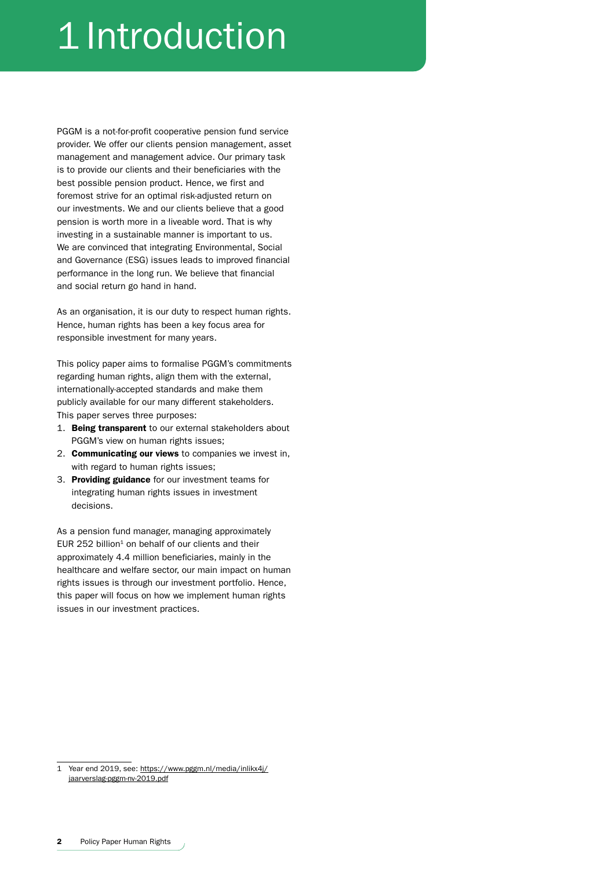# 1 Introduction

PGGM is a not-for-profit cooperative pension fund service provider. We offer our clients pension management, asset management and management advice. Our primary task is to provide our clients and their beneficiaries with the best possible pension product. Hence, we first and foremost strive for an optimal risk-adjusted return on our investments. We and our clients believe that a good pension is worth more in a liveable word. That is why investing in a sustainable manner is important to us. We are convinced that integrating Environmental, Social and Governance (ESG) issues leads to improved financial performance in the long run. We believe that financial and social return go hand in hand.

As an organisation, it is our duty to respect human rights. Hence, human rights has been a key focus area for responsible investment for many years.

This policy paper aims to formalise PGGM's commitments regarding human rights, align them with the external, internationally-accepted standards and make them publicly available for our many different stakeholders. This paper serves three purposes:

- 1. Being transparent to our external stakeholders about PGGM's view on human rights issues;
- 2. Communicating our views to companies we invest in, with regard to human rights issues;
- 3. Providing guidance for our investment teams for integrating human rights issues in investment decisions.

As a pension fund manager, managing approximately EUR 252 billion $1$  on behalf of our clients and their approximately 4.4 million beneficiaries, mainly in the healthcare and welfare sector, our main impact on human rights issues is through our investment portfolio. Hence, this paper will focus on how we implement human rights issues in our investment practices.

<sup>1</sup> Year end 2019, see: [https://www.pggm.nl/media/inlikx4j/](https://www.pggm.nl/media/inlikx4j/jaarverslag-pggm-nv-2019.pdf) [jaarverslag-pggm-nv-2019.pdf](https://www.pggm.nl/media/inlikx4j/jaarverslag-pggm-nv-2019.pdf)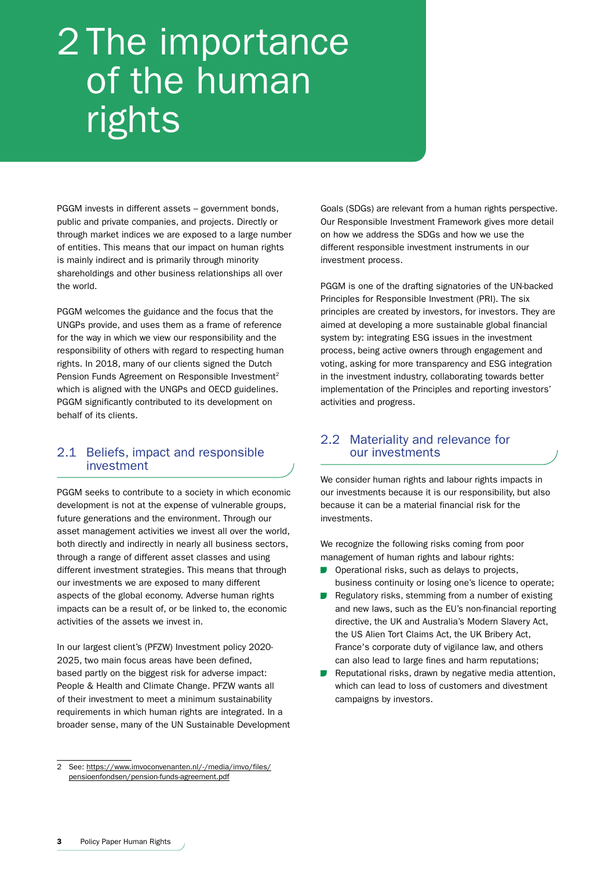## 2 The importance of the human rights

PGGM invests in different assets – government bonds, public and private companies, and projects. Directly or through market indices we are exposed to a large number of entities. This means that our impact on human rights is mainly indirect and is primarily through minority shareholdings and other business relationships all over the world.

PGGM welcomes the guidance and the focus that the UNGPs provide, and uses them as a frame of reference for the way in which we view our responsibility and the responsibility of others with regard to respecting human rights. In 2018, many of our clients signed the Dutch Pension Funds Agreement on Responsible Investment<sup>2</sup> which is aligned with the UNGPs and OECD guidelines. PGGM significantly contributed to its development on behalf of its clients.

### 2.1 Beliefs, impact and responsible investment

PGGM seeks to contribute to a society in which economic development is not at the expense of vulnerable groups, future generations and the environment. Through our asset management activities we invest all over the world, both directly and indirectly in nearly all business sectors, through a range of different asset classes and using different investment strategies. This means that through our investments we are exposed to many different aspects of the global economy. Adverse human rights impacts can be a result of, or be linked to, the economic activities of the assets we invest in.

In our largest client's (PFZW) Investment policy 2020- 2025, two main focus areas have been defined, based partly on the biggest risk for adverse impact: People & Health and Climate Change. PFZW wants all of their investment to meet a minimum sustainability requirements in which human rights are integrated. In a broader sense, many of the UN Sustainable Development Goals (SDGs) are relevant from a human rights perspective. Our Responsible Investment Framework gives more detail on how we address the SDGs and how we use the different responsible investment instruments in our investment process.

PGGM is one of the drafting signatories of the UN-backed Principles for Responsible Investment (PRI). The six principles are created by investors, for investors. They are aimed at developing a more sustainable global financial system by: integrating ESG issues in the investment process, being active owners through engagement and voting, asking for more transparency and ESG integration in the investment industry, collaborating towards better implementation of the Principles and reporting investors' activities and progress.

### 2.2 Materiality and relevance for our investments

We consider human rights and labour rights impacts in our investments because it is our responsibility, but also because it can be a material financial risk for the investments.

We recognize the following risks coming from poor management of human rights and labour rights:

- Operational risks, such as delays to projects, business continuity or losing one's licence to operate;
- Regulatory risks, stemming from a number of existing  $\sim 10$ and new laws, such as the EU's non-financial reporting directive, the UK and Australia's Modern Slavery Act, the US Alien Tort Claims Act, the UK Bribery Act, France's corporate duty of vigilance law, and others can also lead to large fines and harm reputations;
- Reputational risks, drawn by negative media attention, which can lead to loss of customers and divestment campaigns by investors.

<sup>2</sup> See: [https://www.imvoconvenanten.nl/-/media/imvo/files/](https://www.imvoconvenanten.nl/-/media/imvo/files/pensioenfondsen/pension-funds-agreement.pdf) [pensioenfondsen/pension-funds-agreement.pdf](https://www.imvoconvenanten.nl/-/media/imvo/files/pensioenfondsen/pension-funds-agreement.pdf)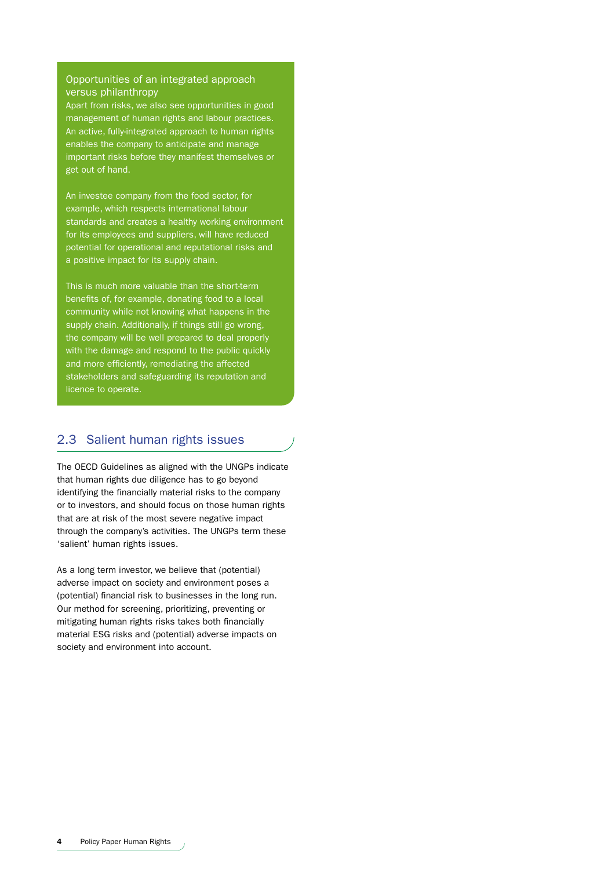### Opportunities of an integrated approach versus philanthropy

Apart from risks, we also see opportunities in good management of human rights and labour practices. An active, fully-integrated approach to human rights enables the company to anticipate and manage important risks before they manifest themselves or get out of hand.

An investee company from the food sector, for example, which respects international labour standards and creates a healthy working environment for its employees and suppliers, will have reduced potential for operational and reputational risks and a positive impact for its supply chain.

This is much more valuable than the short-term benefits of, for example, donating food to a local community while not knowing what happens in the supply chain. Additionally, if things still go wrong, the company will be well prepared to deal properly with the damage and respond to the public quickly and more efficiently, remediating the affected stakeholders and safeguarding its reputation and licence to operate.

### 2.3 Salient human rights issues

The OECD Guidelines as aligned with the UNGPs indicate that human rights due diligence has to go beyond identifying the financially material risks to the company or to investors, and should focus on those human rights that are at risk of the most severe negative impact through the company's activities. The UNGPs term these 'salient' human rights issues.

As a long term investor, we believe that (potential) adverse impact on society and environment poses a (potential) financial risk to businesses in the long run. Our method for screening, prioritizing, preventing or mitigating human rights risks takes both financially material ESG risks and (potential) adverse impacts on society and environment into account.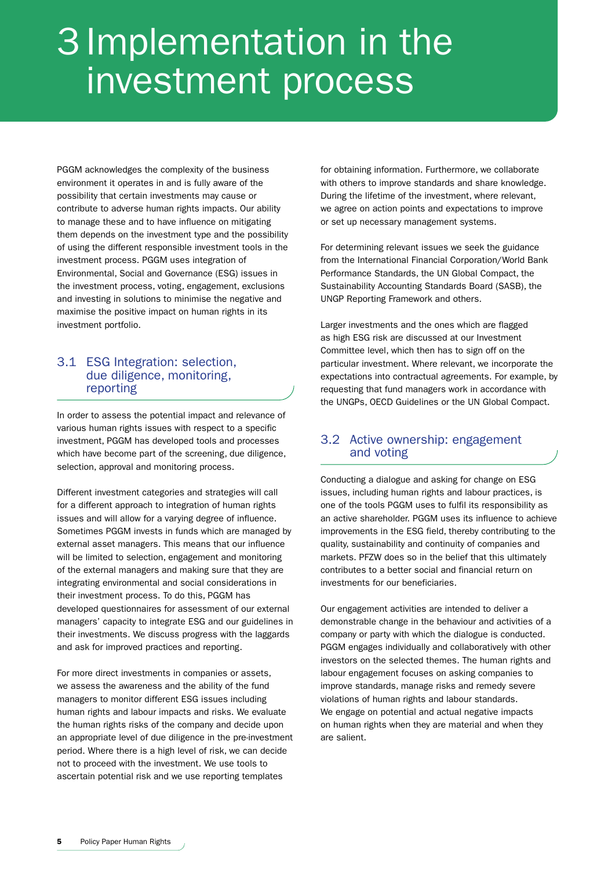## 3 Implementation in the investment process

PGGM acknowledges the complexity of the business environment it operates in and is fully aware of the possibility that certain investments may cause or contribute to adverse human rights impacts. Our ability to manage these and to have influence on mitigating them depends on the investment type and the possibility of using the different responsible investment tools in the investment process. PGGM uses integration of Environmental, Social and Governance (ESG) issues in the investment process, voting, engagement, exclusions and investing in solutions to minimise the negative and maximise the positive impact on human rights in its investment portfolio.

### 3.1 ESG Integration: selection, due diligence, monitoring, reporting

In order to assess the potential impact and relevance of various human rights issues with respect to a specific investment, PGGM has developed tools and processes which have become part of the screening, due diligence, selection, approval and monitoring process.

Different investment categories and strategies will call for a different approach to integration of human rights issues and will allow for a varying degree of influence. Sometimes PGGM invests in funds which are managed by external asset managers. This means that our influence will be limited to selection, engagement and monitoring of the external managers and making sure that they are integrating environmental and social considerations in their investment process. To do this, PGGM has developed questionnaires for assessment of our external managers' capacity to integrate ESG and our guidelines in their investments. We discuss progress with the laggards and ask for improved practices and reporting.

For more direct investments in companies or assets, we assess the awareness and the ability of the fund managers to monitor different ESG issues including human rights and labour impacts and risks. We evaluate the human rights risks of the company and decide upon an appropriate level of due diligence in the pre-investment period. Where there is a high level of risk, we can decide not to proceed with the investment. We use tools to ascertain potential risk and we use reporting templates

for obtaining information. Furthermore, we collaborate with others to improve standards and share knowledge. During the lifetime of the investment, where relevant, we agree on action points and expectations to improve or set up necessary management systems.

For determining relevant issues we seek the guidance from the International Financial Corporation/World Bank Performance Standards, the UN Global Compact, the Sustainability Accounting Standards Board (SASB), the UNGP Reporting Framework and others.

Larger investments and the ones which are flagged as high ESG risk are discussed at our Investment Committee level, which then has to sign off on the particular investment. Where relevant, we incorporate the expectations into contractual agreements. For example, by requesting that fund managers work in accordance with the UNGPs, OECD Guidelines or the UN Global Compact.

### 3.2 Active ownership: engagement and voting

Conducting a dialogue and asking for change on ESG issues, including human rights and labour practices, is one of the tools PGGM uses to fulfil its responsibility as an active shareholder. PGGM uses its influence to achieve improvements in the ESG field, thereby contributing to the quality, sustainability and continuity of companies and markets. PFZW does so in the belief that this ultimately contributes to a better social and financial return on investments for our beneficiaries.

Our engagement activities are intended to deliver a demonstrable change in the behaviour and activities of a company or party with which the dialogue is conducted. PGGM engages individually and collaboratively with other investors on the selected themes. The human rights and labour engagement focuses on asking companies to improve standards, manage risks and remedy severe violations of human rights and labour standards. We engage on potential and actual negative impacts on human rights when they are material and when they are salient.